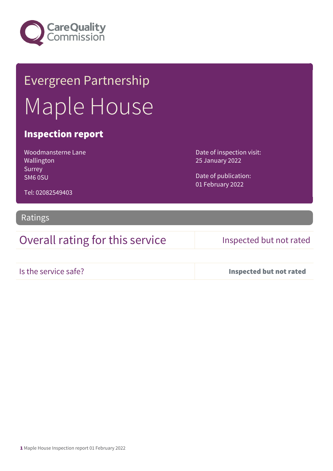

# Evergreen Partnership Maple House

### Inspection report

Woodmansterne Lane Wallington Surrey SM6 0SU

Date of inspection visit: 25 January 2022

Date of publication: 01 February 2022

Tel: 02082549403

### Ratings

Overall rating for this service Inspected but not rated

Is the service safe? Inspected but not rated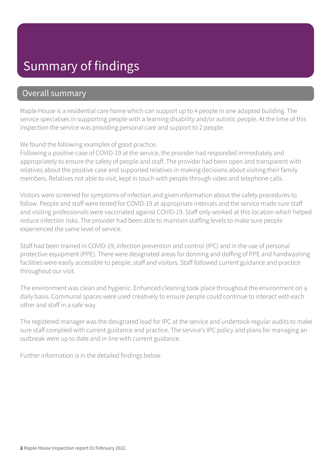## Summary of findings

### Overall summary

Maple House is a residential care home which can support up to 4 people in one adapted building. The service specialises in supporting people with a learning disability and/or autistic people. At the time of this inspection the service was providing personal care and support to 2 people.

We found the following examples of good practice.

Following a positive case of COVID-19 at the service, the provider had responded immediately and appropriately to ensure the safety of people and staff. The provider had been open and transparent with relatives about the positive case and supported relatives in making decisions about visiting their family members. Relatives not able to visit, kept in touch with people through video and telephone calls.

Visitors were screened for symptoms of infection and given information about the safety procedures to follow. People and staff were tested for COVID-19 at appropriate intervals and the service made sure staff and visiting professionals were vaccinated against COVID-19. Staff only worked at this location which helped reduce infection risks. The provider had been able to maintain staffing levels to make sure people experienced the same level of service.

Staff had been trained in COVID-19, infection prevention and control (IPC) and in the use of personal protective equipment (PPE). There were designated areas for donning and doffing of PPE and handwashing facilities were easily accessible to people, staff and visitors. Staff followed current guidance and practice throughout our visit.

The environment was clean and hygienic. Enhanced cleaning took place throughout the environment on a daily basis. Communal spaces were used creatively to ensure people could continue to interact with each other and staff in a safe way.

The registered manager was the designated lead for IPC at the service and undertook regular audits to make sure staff complied with current guidance and practice. The service's IPC policy and plans for managing an outbreak were up to date and in line with current guidance.

Further information is in the detailed findings below.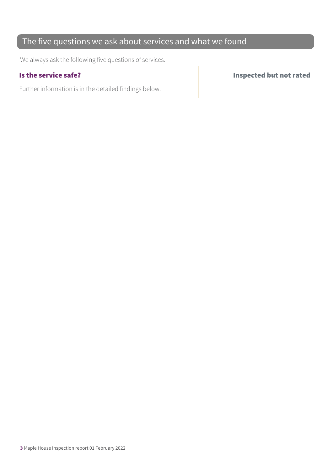### The five questions we ask about services and what we found

We always ask the following five questions of services.

Further information is in the detailed findings below.

Is the service safe? Inspected but not rated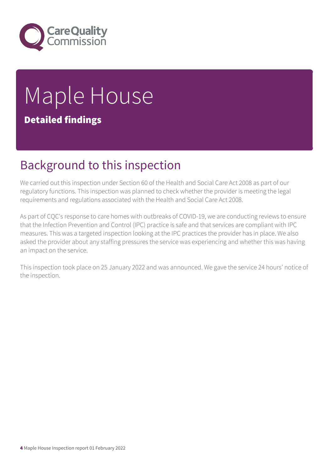

# Maple House Detailed findings

## Background to this inspection

We carried out this inspection under Section 60 of the Health and Social Care Act 2008 as part of our regulatory functions. This inspection was planned to check whether the provider is meeting the legal requirements and regulations associated with the Health and Social Care Act 2008.

As part of CQC's response to care homes with outbreaks of COVID-19, we are conducting reviews to ensure that the Infection Prevention and Control (IPC) practice is safe and that services are compliant with IPC measures. This was a targeted inspection looking at the IPC practices the provider has in place. We also asked the provider about any staffing pressures the service was experiencing and whether this was having an impact on the service.

This inspection took place on 25 January 2022 and was announced. We gave the service 24 hours' notice of the inspection.